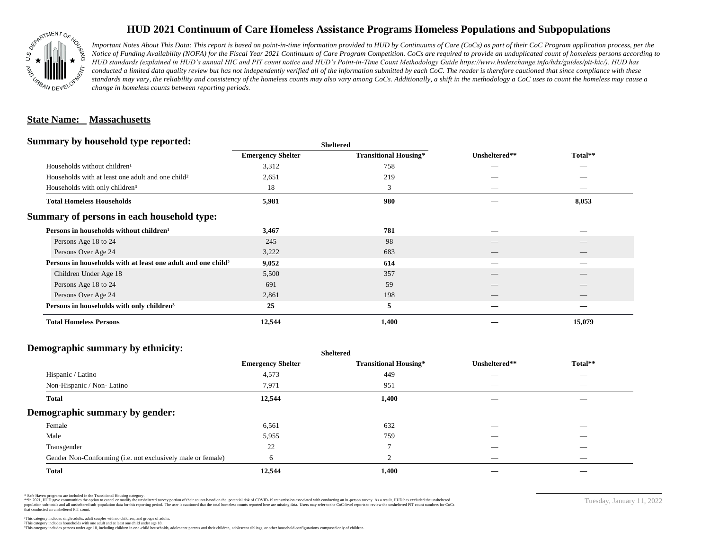

## **HUD 2021 Continuum of Care Homeless Assistance Programs Homeless Populations and Subpopulations**

*Important Notes About This Data: This report is based on point-in-time information provided to HUD by Continuums of Care (CoCs) as part of their CoC Program application process, per the Notice of Funding Availability (NOFA) for the Fiscal Year 2021 Continuum of Care Program Competition. CoCs are required to provide an unduplicated count of homeless persons according to HUD standards (explained in HUD's annual HIC and PIT count notice and HUD's Point-in-Time Count Methodology Guide https://www.hudexchange.info/hdx/guides/pit-hic/). HUD has*  conducted a limited data quality review but has not independently verified all of the information submitted by each CoC. The reader is therefore cautioned that since compliance with these standards may vary, the reliability and consistency of the homeless counts may also vary among CoCs. Additionally, a shift in the methodology a CoC uses to count the homeless may cause a *change in homeless counts between reporting periods.*

#### **State Name: Massachusetts**

#### **Summary by household type reported:**

|                                                                          | patter                   |                              |               |         |  |
|--------------------------------------------------------------------------|--------------------------|------------------------------|---------------|---------|--|
|                                                                          | <b>Emergency Shelter</b> | <b>Transitional Housing*</b> | Unsheltered** | Total** |  |
| Households without children <sup>1</sup>                                 | 3,312                    | 758                          | _             | _       |  |
| Households with at least one adult and one child <sup>2</sup>            | 2,651                    | 219                          |               |         |  |
| Households with only children <sup>3</sup>                               | 18                       | 3                            |               | _       |  |
| <b>Total Homeless Households</b>                                         | 5,981                    | 980                          |               | 8,053   |  |
| Summary of persons in each household type:                               |                          |                              |               |         |  |
| Persons in households without children <sup>1</sup>                      | 3,467                    | 781                          |               |         |  |
| Persons Age 18 to 24                                                     | 245                      | 98                           |               |         |  |
| Persons Over Age 24                                                      | 3,222                    | 683                          | __            |         |  |
| Persons in households with at least one adult and one child <sup>2</sup> | 9,052                    | 614                          |               |         |  |
| Children Under Age 18                                                    | 5,500                    | 357                          |               |         |  |
| Persons Age 18 to 24                                                     | 691                      | 59                           |               |         |  |
| Persons Over Age 24                                                      | 2,861                    | 198                          |               |         |  |
| Persons in households with only children <sup>3</sup>                    | 25                       | 5                            |               |         |  |
| <b>Total Homeless Persons</b>                                            | 12,544                   | 1,400                        |               | 15,079  |  |
|                                                                          |                          |                              |               |         |  |

**Sheltered**

## **Demographic summary by ethnicity:**

| ັ<br>. .<br>$\bullet$<br>$\bullet$<br>$\ddot{\phantom{1}}$  | Sneitered                |                              |                                |                                 |
|-------------------------------------------------------------|--------------------------|------------------------------|--------------------------------|---------------------------------|
|                                                             | <b>Emergency Shelter</b> | <b>Transitional Housing*</b> | Unsheltered**                  | Total**                         |
| Hispanic / Latino                                           | 4,573                    | 449                          | $\overline{\phantom{a}}$       | $\hspace{0.1mm}-\hspace{0.1mm}$ |
| Non-Hispanic / Non-Latino                                   | 7,971                    | 951                          | $\hspace{0.05cm}$              | $\hspace{0.1mm}-\hspace{0.1mm}$ |
| <b>Total</b>                                                | 12,544                   | 1,400                        |                                |                                 |
| Demographic summary by gender:                              |                          |                              |                                |                                 |
| Female                                                      | 6,561                    | 632                          | $\overline{\phantom{a}}$       | $\overline{\phantom{a}}$        |
| Male                                                        | 5,955                    | 759                          | $\overline{\phantom{a}}$       |                                 |
| Transgender                                                 | 22                       | $\mathbf{r}$                 | $\overbrace{\hspace{25mm}}^{}$ | $\hspace{0.1mm}-\hspace{0.1mm}$ |
| Gender Non-Conforming (i.e. not exclusively male or female) | 6                        | $\sim$<br>∠                  | $\overbrace{\hspace{25mm}}^{}$ | $\hspace{0.1mm}-\hspace{0.1mm}$ |
| <b>Total</b>                                                | 12,544                   | 1,400                        |                                |                                 |

**Sheltered**

\* Safe Haven programs are included in the Transitional Housing category.

\*\*In 2021, HUD gave communities the option to cancel or modify the unsheltered survey portion of their counts based on the potential risk of COVID-19 transmission associated with conducting an in-person survey. As a result n political data for this reporting period. The user is cautioned that the total homeless counts reported here are missing data. Users may refer to the CoC-level reports to review the unshellered PIT count numbers for CoCs that conducted an unsheltered PIT count.